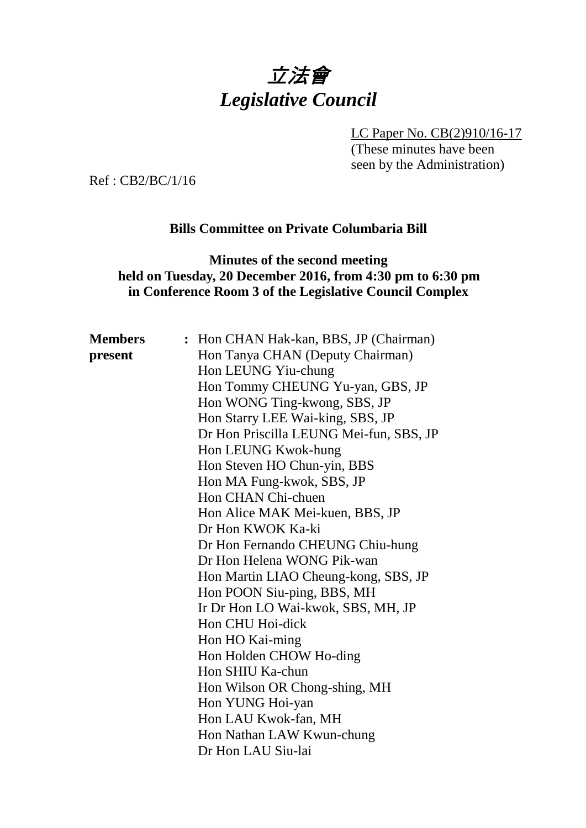# 立法會 *Legislative Council*

LC Paper No. CB(2)910/16-17

(These minutes have been seen by the Administration)

Ref : CB2/BC/1/16

# **Bills Committee on Private Columbaria Bill**

#### **Minutes of the second meeting held on Tuesday, 20 December 2016, from 4:30 pm to 6:30 pm in Conference Room 3 of the Legislative Council Complex**

| <b>Members</b> | : Hon CHAN Hak-kan, BBS, JP (Chairman)  |
|----------------|-----------------------------------------|
| present        | Hon Tanya CHAN (Deputy Chairman)        |
|                | Hon LEUNG Yiu-chung                     |
|                | Hon Tommy CHEUNG Yu-yan, GBS, JP        |
|                | Hon WONG Ting-kwong, SBS, JP            |
|                | Hon Starry LEE Wai-king, SBS, JP        |
|                | Dr Hon Priscilla LEUNG Mei-fun, SBS, JP |
|                | Hon LEUNG Kwok-hung                     |
|                | Hon Steven HO Chun-yin, BBS             |
|                | Hon MA Fung-kwok, SBS, JP               |
|                | Hon CHAN Chi-chuen                      |
|                | Hon Alice MAK Mei-kuen, BBS, JP         |
|                | Dr Hon KWOK Ka-ki                       |
|                | Dr Hon Fernando CHEUNG Chiu-hung        |
|                | Dr Hon Helena WONG Pik-wan              |
|                | Hon Martin LIAO Cheung-kong, SBS, JP    |
|                | Hon POON Siu-ping, BBS, MH              |
|                | Ir Dr Hon LO Wai-kwok, SBS, MH, JP      |
|                | Hon CHU Hoi-dick                        |
|                | Hon HO Kai-ming                         |
|                | Hon Holden CHOW Ho-ding                 |
|                | Hon SHIU Ka-chun                        |
|                | Hon Wilson OR Chong-shing, MH           |
|                | Hon YUNG Hoi-yan                        |
|                | Hon LAU Kwok-fan, MH                    |
|                | Hon Nathan LAW Kwun-chung               |
|                | Dr Hon LAU Siu-lai                      |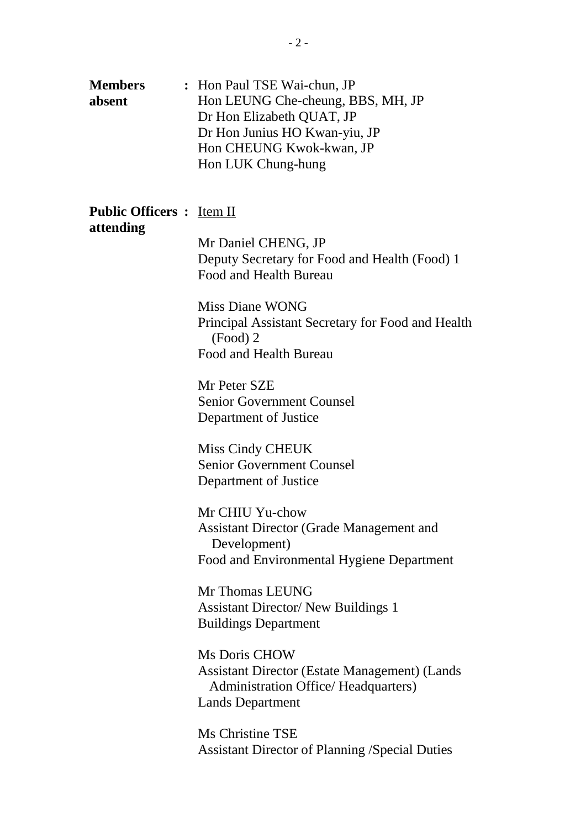| <b>Members</b> | : Hon Paul TSE Wai-chun, JP       |
|----------------|-----------------------------------|
| absent         | Hon LEUNG Che-cheung, BBS, MH, JP |
|                | Dr Hon Elizabeth QUAT, JP         |
|                | Dr Hon Junius HO Kwan-yiu, JP     |
|                | Hon CHEUNG Kwok-kwan, JP          |
|                | Hon LUK Chung-hung                |

## **Public Officers :** Item II **attending**

Mr Daniel CHENG, JP Deputy Secretary for Food and Health (Food) 1 Food and Health Bureau

Miss Diane WONG Principal Assistant Secretary for Food and Health (Food) 2 Food and Health Bureau

Mr Peter SZE Senior Government Counsel Department of Justice

Miss Cindy CHEUK Senior Government Counsel Department of Justice

Mr CHIU Yu-chow Assistant Director (Grade Management and Development) Food and Environmental Hygiene Department

Mr Thomas LEUNG Assistant Director/ New Buildings 1 Buildings Department

Ms Doris CHOW Assistant Director (Estate Management) (Lands Administration Office/ Headquarters) Lands Department

Ms Christine TSE Assistant Director of Planning /Special Duties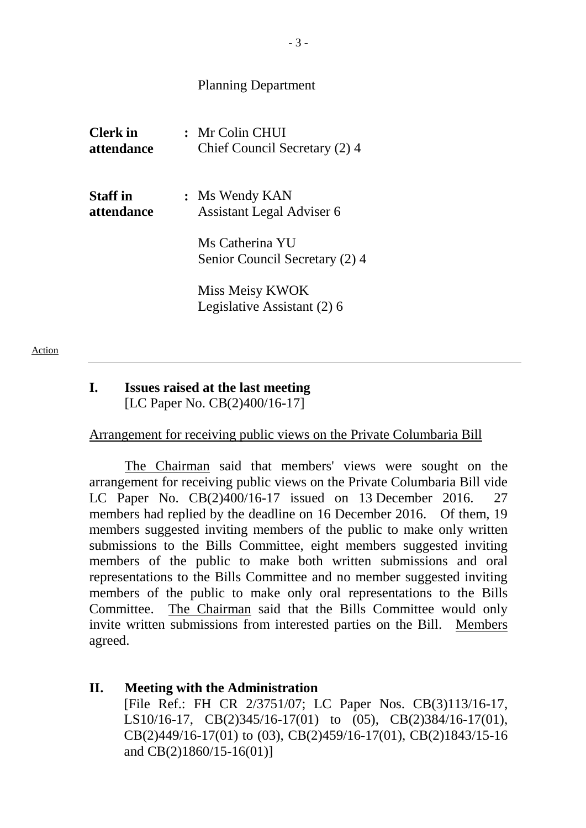#### Planning Department

| <b>Clerk</b> in<br><i>attendance</i> | : Mr Colin CHUI<br>Chief Council Secretary (2) 4  |
|--------------------------------------|---------------------------------------------------|
| <b>Staff</b> in<br><i>attendance</i> | : Ms Wendy KAN<br>Assistant Legal Adviser 6       |
|                                      | Ms Catherina YU<br>Senior Council Secretary (2) 4 |
|                                      | Miss Meisy KWOK<br>Legislative Assistant (2) 6    |

#### **I. Issues raised at the last meeting** [LC Paper No. CB(2)400/16-17]

#### Arrangement for receiving public views on the Private Columbaria Bill

The Chairman said that members' views were sought on the arrangement for receiving public views on the Private Columbaria Bill vide LC Paper No. CB(2)400/16-17 issued on 13 December 2016. 27 members had replied by the deadline on 16 December 2016. Of them, 19 members suggested inviting members of the public to make only written submissions to the Bills Committee, eight members suggested inviting members of the public to make both written submissions and oral representations to the Bills Committee and no member suggested inviting members of the public to make only oral representations to the Bills Committee. The Chairman said that the Bills Committee would only invite written submissions from interested parties on the Bill. Members agreed.

### **II. Meeting with the Administration** [File Ref.: FH CR 2/3751/07; LC Paper Nos. CB(3)113/16-17, LS10/16-17, CB(2)345/16-17(01) to (05), CB(2)384/16-17(01), CB(2)449/16-17(01) to (03), CB(2)459/16-17(01), CB(2)1843/15-16 and CB(2)1860/15-16(01)]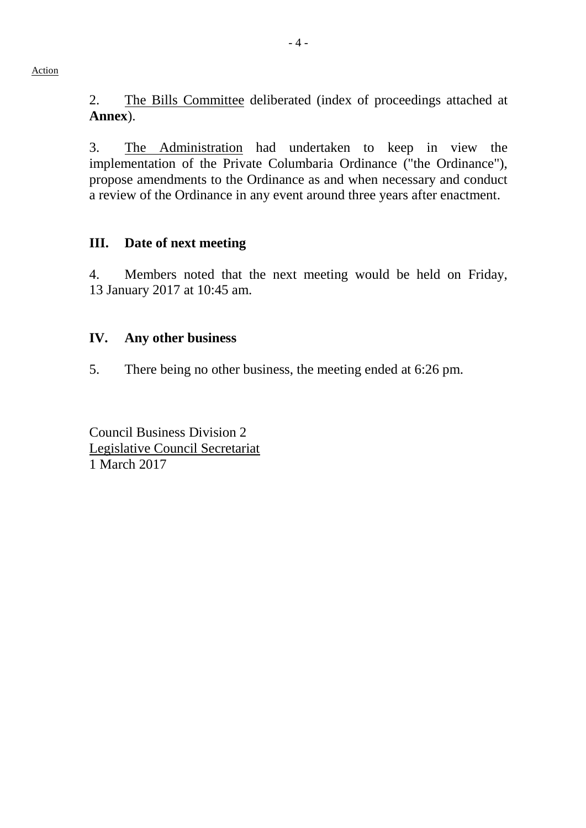Action

2. The Bills Committee deliberated (index of proceedings attached at **Annex**).

3. The Administration had undertaken to keep in view the implementation of the Private Columbaria Ordinance ("the Ordinance"), propose amendments to the Ordinance as and when necessary and conduct a review of the Ordinance in any event around three years after enactment.

## **III. Date of next meeting**

4. Members noted that the next meeting would be held on Friday, 13 January 2017 at 10:45 am.

## **IV. Any other business**

5. There being no other business, the meeting ended at 6:26 pm.

Council Business Division 2 Legislative Council Secretariat 1 March 2017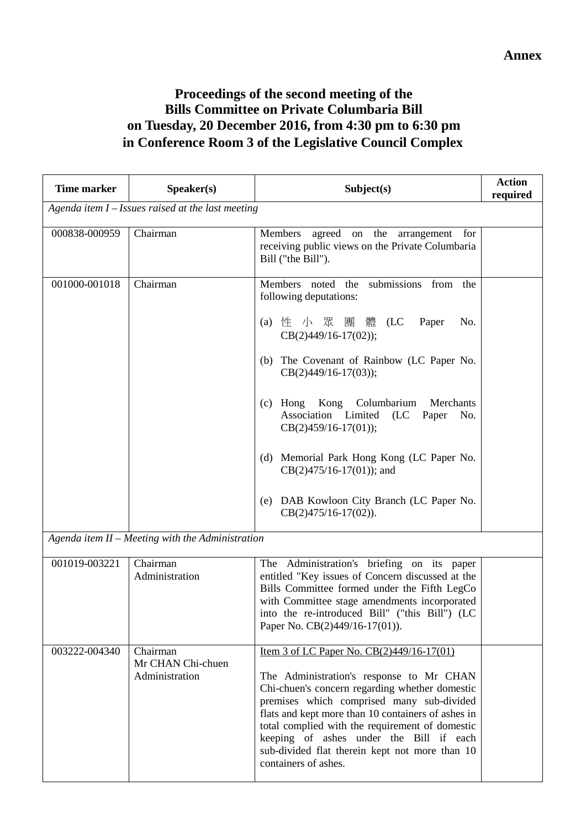# **Proceedings of the second meeting of the Bills Committee on Private Columbaria Bill on Tuesday, 20 December 2016, from 4:30 pm to 6:30 pm in Conference Room 3 of the Legislative Council Complex**

| <b>Time marker</b>                                   | Speaker(s)                                         | Subject(s)                                                                                                                                                                                                                                                                                                                                                                                                                                                                         | <b>Action</b><br>required |  |
|------------------------------------------------------|----------------------------------------------------|------------------------------------------------------------------------------------------------------------------------------------------------------------------------------------------------------------------------------------------------------------------------------------------------------------------------------------------------------------------------------------------------------------------------------------------------------------------------------------|---------------------------|--|
| Agenda item $I - I$ ssues raised at the last meeting |                                                    |                                                                                                                                                                                                                                                                                                                                                                                                                                                                                    |                           |  |
| 000838-000959                                        | Chairman                                           | Members<br>agreed<br>on the arrangement<br>for<br>receiving public views on the Private Columbaria<br>Bill ("the Bill").                                                                                                                                                                                                                                                                                                                                                           |                           |  |
| 001000-001018                                        | Chairman                                           | Members noted the<br>submissions from the<br>following deputations:<br>(a) 性 小 眾 團<br>體 (LC<br>Paper<br>No.<br>$CB(2)449/16-17(02));$<br>(b) The Covenant of Rainbow (LC Paper No.<br>$CB(2)449/16-17(03));$<br>(c) Hong Kong Columbarium<br>Merchants<br>Association Limited<br>(LC)<br>Paper<br>No.<br>$CB(2)459/16-17(01));$<br>(d) Memorial Park Hong Kong (LC Paper No.<br>$CB(2)475/16-17(01))$ ; and<br>(e) DAB Kowloon City Branch (LC Paper No.<br>$CB(2)475/16-17(02)).$ |                           |  |
|                                                      | Agenda item $II$ – Meeting with the Administration |                                                                                                                                                                                                                                                                                                                                                                                                                                                                                    |                           |  |
| 001019-003221                                        | Chairman<br>Administration                         | The Administration's briefing on its paper<br>entitled "Key issues of Concern discussed at the<br>Bills Committee formed under the Fifth LegCo<br>with Committee stage amendments incorporated<br>into the re-introduced Bill" ("this Bill") (LC<br>Paper No. CB(2)449/16-17(01)).                                                                                                                                                                                                 |                           |  |
| 003222-004340                                        | Chairman<br>Mr CHAN Chi-chuen<br>Administration    | <u>Item 3 of LC Paper No. CB(2)449/16-17(01)</u><br>The Administration's response to Mr CHAN<br>Chi-chuen's concern regarding whether domestic<br>premises which comprised many sub-divided<br>flats and kept more than 10 containers of ashes in<br>total complied with the requirement of domestic                                                                                                                                                                               |                           |  |

keeping of ashes under the Bill if each sub-divided flat therein kept not more than 10

containers of ashes.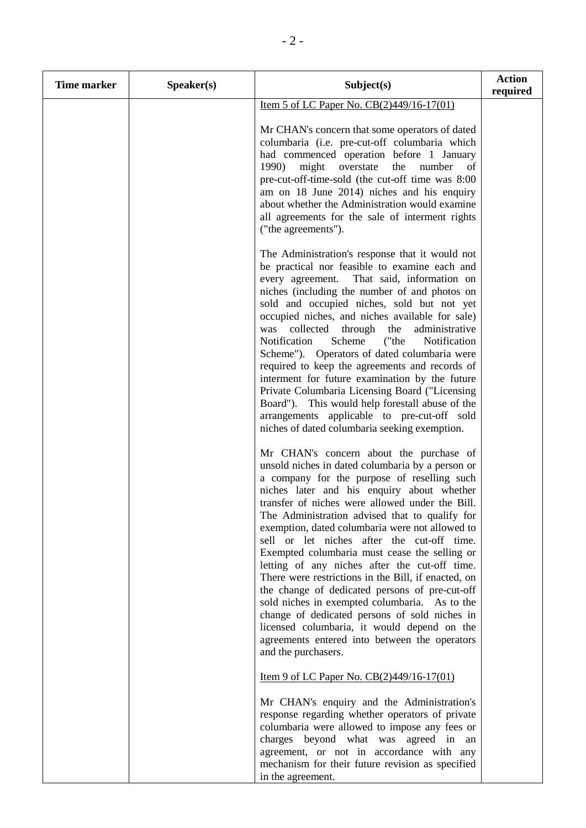| <b>Time marker</b> | Speaker(s) | Subject(s)                                                                                                                                                                                                                                                                                                                                                                                                                                                                                                                                                                                                                                                                                                                                                                                                                         | <b>Action</b><br>required |
|--------------------|------------|------------------------------------------------------------------------------------------------------------------------------------------------------------------------------------------------------------------------------------------------------------------------------------------------------------------------------------------------------------------------------------------------------------------------------------------------------------------------------------------------------------------------------------------------------------------------------------------------------------------------------------------------------------------------------------------------------------------------------------------------------------------------------------------------------------------------------------|---------------------------|
|                    |            | <u>Item 5 of LC Paper No. CB(2)449/16-17(01)</u>                                                                                                                                                                                                                                                                                                                                                                                                                                                                                                                                                                                                                                                                                                                                                                                   |                           |
|                    |            | Mr CHAN's concern that some operators of dated<br>columbaria (i.e. pre-cut-off columbaria which<br>had commenced operation before 1 January<br>1990)<br>might<br>overstate<br>the<br>number<br>of<br>pre-cut-off-time-sold (the cut-off time was 8:00<br>am on 18 June 2014) niches and his enquiry<br>about whether the Administration would examine<br>all agreements for the sale of interment rights<br>("the agreements").                                                                                                                                                                                                                                                                                                                                                                                                    |                           |
|                    |            | The Administration's response that it would not<br>be practical nor feasible to examine each and<br>That said, information on<br>every agreement.<br>niches (including the number of and photos on<br>sold and occupied niches, sold but not yet<br>occupied niches, and niches available for sale)<br>collected<br>through<br>the<br>administrative<br>was<br>Notification<br>Scheme<br>("the<br>Notification<br>Scheme"). Operators of dated columbaria were<br>required to keep the agreements and records of<br>interment for future examination by the future<br>Private Columbaria Licensing Board ("Licensing<br>Board"). This would help forestall abuse of the<br>arrangements applicable to pre-cut-off sold<br>niches of dated columbaria seeking exemption.                                                            |                           |
|                    |            | Mr CHAN's concern about the purchase of<br>unsold niches in dated columbaria by a person or<br>a company for the purpose of reselling such<br>niches later and his enquiry about whether<br>transfer of niches were allowed under the Bill.<br>The Administration advised that to qualify for<br>exemption, dated columbaria were not allowed to<br>sell or let niches after the cut-off time.<br>Exempted columbaria must cease the selling or<br>letting of any niches after the cut-off time.<br>There were restrictions in the Bill, if enacted, on<br>the change of dedicated persons of pre-cut-off<br>sold niches in exempted columbaria. As to the<br>change of dedicated persons of sold niches in<br>licensed columbaria, it would depend on the<br>agreements entered into between the operators<br>and the purchasers. |                           |
|                    |            | <u>Item 9 of LC Paper No. CB(2)449/16-17(01)</u>                                                                                                                                                                                                                                                                                                                                                                                                                                                                                                                                                                                                                                                                                                                                                                                   |                           |
|                    |            | Mr CHAN's enquiry and the Administration's<br>response regarding whether operators of private<br>columbaria were allowed to impose any fees or<br>charges beyond what was agreed in an<br>agreement, or not in accordance with any<br>mechanism for their future revision as specified<br>in the agreement.                                                                                                                                                                                                                                                                                                                                                                                                                                                                                                                        |                           |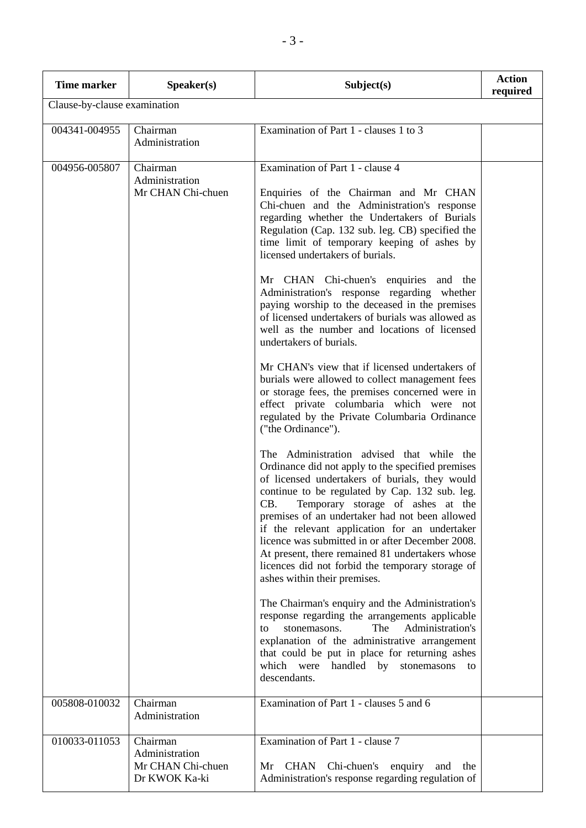| <b>Time marker</b>           | Speaker(s)                                                       | Subject(s)                                                                                                                                                                                                                                                                                                                                                                                                                                                                                                                                   | <b>Action</b><br>required |
|------------------------------|------------------------------------------------------------------|----------------------------------------------------------------------------------------------------------------------------------------------------------------------------------------------------------------------------------------------------------------------------------------------------------------------------------------------------------------------------------------------------------------------------------------------------------------------------------------------------------------------------------------------|---------------------------|
| Clause-by-clause examination |                                                                  |                                                                                                                                                                                                                                                                                                                                                                                                                                                                                                                                              |                           |
| 004341-004955                | Chairman<br>Administration                                       | Examination of Part 1 - clauses 1 to 3                                                                                                                                                                                                                                                                                                                                                                                                                                                                                                       |                           |
| 004956-005807                | Chairman<br>Administration<br>Mr CHAN Chi-chuen                  | Examination of Part 1 - clause 4<br>Enquiries of the Chairman and Mr CHAN<br>Chi-chuen and the Administration's response<br>regarding whether the Undertakers of Burials<br>Regulation (Cap. 132 sub. leg. CB) specified the<br>time limit of temporary keeping of ashes by<br>licensed undertakers of burials.                                                                                                                                                                                                                              |                           |
|                              |                                                                  | Mr CHAN Chi-chuen's enquiries and the<br>Administration's response regarding whether<br>paying worship to the deceased in the premises<br>of licensed undertakers of burials was allowed as<br>well as the number and locations of licensed<br>undertakers of burials.                                                                                                                                                                                                                                                                       |                           |
|                              |                                                                  | Mr CHAN's view that if licensed undertakers of<br>burials were allowed to collect management fees<br>or storage fees, the premises concerned were in<br>effect private columbaria which were not<br>regulated by the Private Columbaria Ordinance<br>("the Ordinance").                                                                                                                                                                                                                                                                      |                           |
|                              |                                                                  | The Administration advised that while the<br>Ordinance did not apply to the specified premises<br>of licensed undertakers of burials, they would<br>continue to be regulated by Cap. 132 sub. leg.<br>CB.<br>Temporary storage of ashes at the<br>premises of an undertaker had not been allowed<br>if the relevant application for an undertaker<br>licence was submitted in or after December 2008.<br>At present, there remained 81 undertakers whose<br>licences did not forbid the temporary storage of<br>ashes within their premises. |                           |
|                              |                                                                  | The Chairman's enquiry and the Administration's<br>response regarding the arrangements applicable<br>The<br>Administration's<br>stonemasons.<br>to<br>explanation of the administrative arrangement<br>that could be put in place for returning ashes<br>which were<br>handled by<br>stonemasons<br>to<br>descendants.                                                                                                                                                                                                                       |                           |
| 005808-010032                | Chairman<br>Administration                                       | Examination of Part 1 - clauses 5 and 6                                                                                                                                                                                                                                                                                                                                                                                                                                                                                                      |                           |
| 010033-011053                | Chairman<br>Administration<br>Mr CHAN Chi-chuen<br>Dr KWOK Ka-ki | Examination of Part 1 - clause 7<br>Chi-chuen's enquiry<br>CHAN<br>Mr<br>and<br>the<br>Administration's response regarding regulation of                                                                                                                                                                                                                                                                                                                                                                                                     |                           |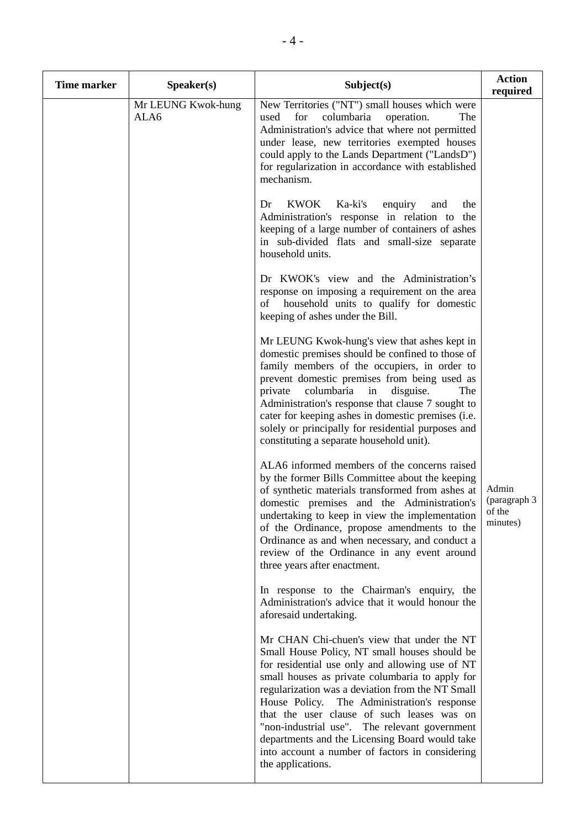| <b>Time marker</b> | Speaker(s)                 | Subject(s)                                                                                                                                                                                                                                                                                                                                                                                                                                                                                                                       | <b>Action</b><br>required                   |
|--------------------|----------------------------|----------------------------------------------------------------------------------------------------------------------------------------------------------------------------------------------------------------------------------------------------------------------------------------------------------------------------------------------------------------------------------------------------------------------------------------------------------------------------------------------------------------------------------|---------------------------------------------|
|                    | Mr LEUNG Kwok-hung<br>ALA6 | New Territories ("NT") small houses which were<br>columbaria<br>for<br>operation.<br>The<br>used<br>Administration's advice that where not permitted<br>under lease, new territories exempted houses<br>could apply to the Lands Department ("LandsD")<br>for regularization in accordance with established<br>mechanism.                                                                                                                                                                                                        |                                             |
|                    |                            | <b>KWOK</b><br>Ka-ki's<br>Dr<br>enquiry<br>and<br>the<br>Administration's response in relation to<br>the<br>keeping of a large number of containers of ashes<br>in sub-divided flats and small-size separate<br>household units.                                                                                                                                                                                                                                                                                                 |                                             |
|                    |                            | Dr KWOK's view and the Administration's<br>response on imposing a requirement on the area<br>household units to qualify for domestic<br>of<br>keeping of ashes under the Bill.                                                                                                                                                                                                                                                                                                                                                   |                                             |
|                    |                            | Mr LEUNG Kwok-hung's view that ashes kept in<br>domestic premises should be confined to those of<br>family members of the occupiers, in order to<br>prevent domestic premises from being used as<br>columbaria<br>private<br>in<br>disguise.<br>The<br>Administration's response that clause 7 sought to<br>cater for keeping ashes in domestic premises (i.e.<br>solely or principally for residential purposes and<br>constituting a separate household unit).                                                                 |                                             |
|                    |                            | ALA6 informed members of the concerns raised<br>by the former Bills Committee about the keeping<br>of synthetic materials transformed from ashes at<br>domestic premises and the Administration's<br>undertaking to keep in view the implementation<br>of the Ordinance, propose amendments to the<br>Ordinance as and when necessary, and conduct a<br>review of the Ordinance in any event around<br>three years after enactment.                                                                                              | Admin<br>(paragraph 3<br>of the<br>minutes) |
|                    |                            | In response to the Chairman's enquiry, the<br>Administration's advice that it would honour the<br>aforesaid undertaking.                                                                                                                                                                                                                                                                                                                                                                                                         |                                             |
|                    |                            | Mr CHAN Chi-chuen's view that under the NT<br>Small House Policy, NT small houses should be<br>for residential use only and allowing use of NT<br>small houses as private columbaria to apply for<br>regularization was a deviation from the NT Small<br>House Policy.<br>The Administration's response<br>that the user clause of such leases was on<br>"non-industrial use". The relevant government<br>departments and the Licensing Board would take<br>into account a number of factors in considering<br>the applications. |                                             |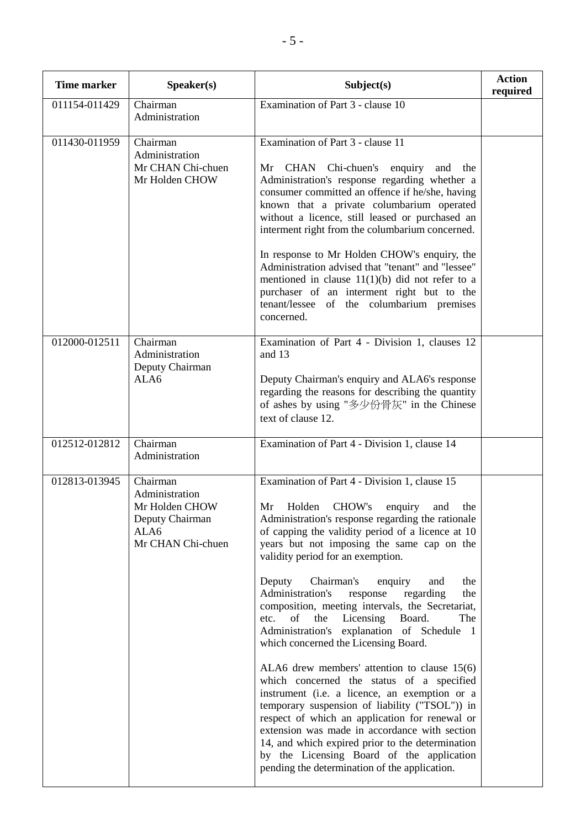| <b>Time marker</b> | Speaker(s)                                                                                   | Subject(s)                                                                                                                                                                                                                                                                                                                                                                                                                                                                                                                                                                                                                                                                                                                                                                                                                                                                                                                                                                                                                                             | <b>Action</b><br>required |
|--------------------|----------------------------------------------------------------------------------------------|--------------------------------------------------------------------------------------------------------------------------------------------------------------------------------------------------------------------------------------------------------------------------------------------------------------------------------------------------------------------------------------------------------------------------------------------------------------------------------------------------------------------------------------------------------------------------------------------------------------------------------------------------------------------------------------------------------------------------------------------------------------------------------------------------------------------------------------------------------------------------------------------------------------------------------------------------------------------------------------------------------------------------------------------------------|---------------------------|
| 011154-011429      | Chairman<br>Administration                                                                   | Examination of Part 3 - clause 10                                                                                                                                                                                                                                                                                                                                                                                                                                                                                                                                                                                                                                                                                                                                                                                                                                                                                                                                                                                                                      |                           |
|                    |                                                                                              |                                                                                                                                                                                                                                                                                                                                                                                                                                                                                                                                                                                                                                                                                                                                                                                                                                                                                                                                                                                                                                                        |                           |
| 011430-011959      | Chairman<br>Administration<br>Mr CHAN Chi-chuen<br>Mr Holden CHOW                            | Examination of Part 3 - clause 11<br>CHAN Chi-chuen's enquiry<br>Mr<br>and<br>the<br>Administration's response regarding whether a<br>consumer committed an offence if he/she, having<br>known that a private columbarium operated<br>without a licence, still leased or purchased an<br>interment right from the columbarium concerned.<br>In response to Mr Holden CHOW's enquiry, the<br>Administration advised that "tenant" and "lessee"<br>mentioned in clause $11(1)(b)$ did not refer to a<br>purchaser of an interment right but to the<br>tenant/lessee of the columbarium premises<br>concerned.                                                                                                                                                                                                                                                                                                                                                                                                                                            |                           |
| 012000-012511      | Chairman<br>Administration<br>Deputy Chairman<br>ALA6                                        | Examination of Part 4 - Division 1, clauses 12<br>and 13<br>Deputy Chairman's enquiry and ALA6's response<br>regarding the reasons for describing the quantity<br>of ashes by using "多少份骨灰" in the Chinese<br>text of clause 12.                                                                                                                                                                                                                                                                                                                                                                                                                                                                                                                                                                                                                                                                                                                                                                                                                       |                           |
| 012512-012812      | Chairman<br>Administration                                                                   | Examination of Part 4 - Division 1, clause 14                                                                                                                                                                                                                                                                                                                                                                                                                                                                                                                                                                                                                                                                                                                                                                                                                                                                                                                                                                                                          |                           |
| 012813-013945      | Chairman<br>Administration<br>Mr Holden CHOW<br>Deputy Chairman<br>ALA6<br>Mr CHAN Chi-chuen | Examination of Part 4 - Division 1, clause 15<br>CHOW's<br>Mr<br>Holden<br>enquiry<br>the<br>and<br>Administration's response regarding the rationale<br>of capping the validity period of a licence at 10<br>years but not imposing the same cap on the<br>validity period for an exemption.<br>Chairman's<br>Deputy<br>enquiry<br>the<br>and<br>Administration's<br>regarding<br>the<br>response<br>composition, meeting intervals, the Secretariat,<br>Licensing<br>Board.<br>etc.<br>the<br>The<br>of<br>Administration's explanation of Schedule 1<br>which concerned the Licensing Board.<br>ALA6 drew members' attention to clause $15(6)$<br>which concerned the status of a specified<br>instrument (i.e. a licence, an exemption or a<br>temporary suspension of liability ("TSOL")) in<br>respect of which an application for renewal or<br>extension was made in accordance with section<br>14, and which expired prior to the determination<br>by the Licensing Board of the application<br>pending the determination of the application. |                           |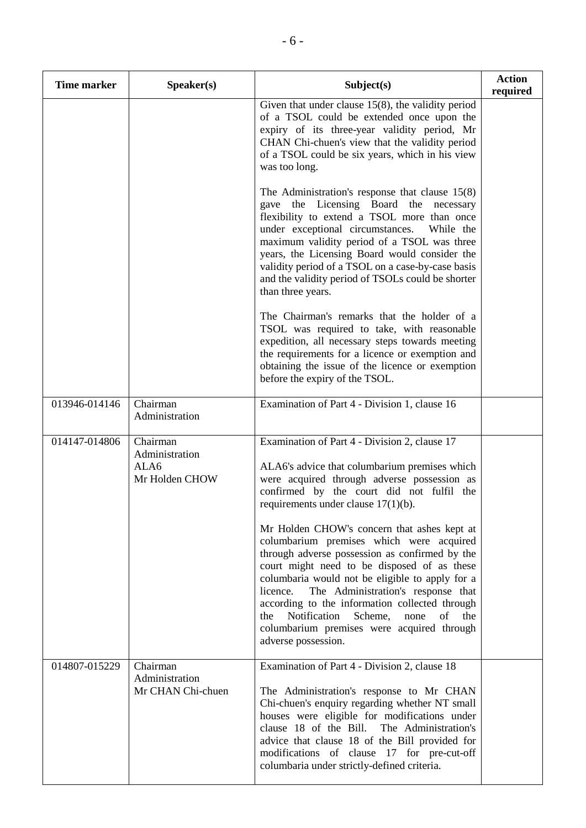| <b>Time marker</b> | Speaker(s)                                           | Subject(s)                                                                                                                                                                                                                                                                                                                                                                                                                                                                                                                                                                                                                                                                                                          | <b>Action</b><br>required |
|--------------------|------------------------------------------------------|---------------------------------------------------------------------------------------------------------------------------------------------------------------------------------------------------------------------------------------------------------------------------------------------------------------------------------------------------------------------------------------------------------------------------------------------------------------------------------------------------------------------------------------------------------------------------------------------------------------------------------------------------------------------------------------------------------------------|---------------------------|
|                    |                                                      | Given that under clause $15(8)$ , the validity period<br>of a TSOL could be extended once upon the<br>expiry of its three-year validity period, Mr<br>CHAN Chi-chuen's view that the validity period<br>of a TSOL could be six years, which in his view<br>was too long.                                                                                                                                                                                                                                                                                                                                                                                                                                            |                           |
|                    |                                                      | The Administration's response that clause $15(8)$<br>gave the Licensing Board the necessary<br>flexibility to extend a TSOL more than once<br>under exceptional circumstances.<br>While the<br>maximum validity period of a TSOL was three<br>years, the Licensing Board would consider the<br>validity period of a TSOL on a case-by-case basis<br>and the validity period of TSOLs could be shorter<br>than three years.                                                                                                                                                                                                                                                                                          |                           |
|                    |                                                      | The Chairman's remarks that the holder of a<br>TSOL was required to take, with reasonable<br>expedition, all necessary steps towards meeting<br>the requirements for a licence or exemption and<br>obtaining the issue of the licence or exemption<br>before the expiry of the TSOL.                                                                                                                                                                                                                                                                                                                                                                                                                                |                           |
| 013946-014146      | Chairman<br>Administration                           | Examination of Part 4 - Division 1, clause 16                                                                                                                                                                                                                                                                                                                                                                                                                                                                                                                                                                                                                                                                       |                           |
| 014147-014806      | Chairman<br>Administration<br>ALA6<br>Mr Holden CHOW | Examination of Part 4 - Division 2, clause 17<br>ALA6's advice that columbarium premises which<br>were acquired through adverse possession as<br>confirmed by the court did not fulfil the<br>requirements under clause $17(1)(b)$ .<br>Mr Holden CHOW's concern that ashes kept at<br>columbarium premises which were acquired<br>through adverse possession as confirmed by the<br>court might need to be disposed of as these<br>columbaria would not be eligible to apply for a<br>The Administration's response that<br>licence.<br>according to the information collected through<br>Notification<br>Scheme,<br>none<br>of<br>the<br>the<br>columbarium premises were acquired through<br>adverse possession. |                           |
| 014807-015229      | Chairman<br>Administration<br>Mr CHAN Chi-chuen      | Examination of Part 4 - Division 2, clause 18<br>The Administration's response to Mr CHAN<br>Chi-chuen's enquiry regarding whether NT small<br>houses were eligible for modifications under<br>clause 18 of the Bill.<br>The Administration's<br>advice that clause 18 of the Bill provided for<br>modifications of clause 17 for pre-cut-off<br>columbaria under strictly-defined criteria.                                                                                                                                                                                                                                                                                                                        |                           |